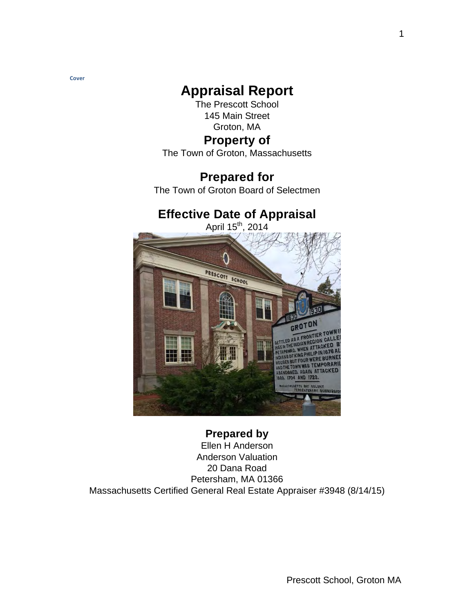**Cover**

# **Appraisal Report**

The Prescott School 145 Main Street Groton, MA

# **Property of**

The Town of Groton, Massachusetts

# **Prepared for**

The Town of Groton Board of Selectmen

# **Effective Date of Appraisal**



# **Prepared by**

Ellen H Anderson Anderson Valuation 20 Dana Road Petersham, MA 01366 Massachusetts Certified General Real Estate Appraiser #3948 (8/14/15)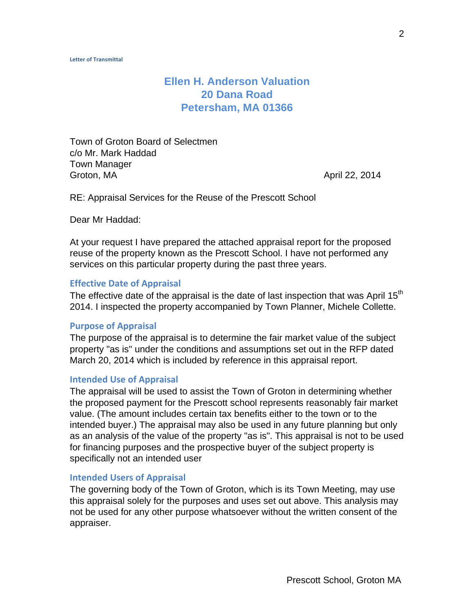# **Ellen H. Anderson Valuation 20 Dana Road Petersham, MA 01366**

Town of Groton Board of Selectmen c/o Mr. Mark Haddad Town Manager Groton, MA **April 22, 2014** 

RE: Appraisal Services for the Reuse of the Prescott School

Dear Mr Haddad:

At your request I have prepared the attached appraisal report for the proposed reuse of the property known as the Prescott School. I have not performed any services on this particular property during the past three years.

#### **Effective Date of Appraisal**

The effective date of the appraisal is the date of last inspection that was April  $15<sup>th</sup>$ 2014. I inspected the property accompanied by Town Planner, Michele Collette.

### **Purpose of Appraisal**

The purpose of the appraisal is to determine the fair market value of the subject property "as is" under the conditions and assumptions set out in the RFP dated March 20, 2014 which is included by reference in this appraisal report.

### **Intended Use of Appraisal**

The appraisal will be used to assist the Town of Groton in determining whether the proposed payment for the Prescott school represents reasonably fair market value. (The amount includes certain tax benefits either to the town or to the intended buyer.) The appraisal may also be used in any future planning but only as an analysis of the value of the property "as is". This appraisal is not to be used for financing purposes and the prospective buyer of the subject property is specifically not an intended user

#### **Intended Users of Appraisal**

The governing body of the Town of Groton, which is its Town Meeting, may use this appraisal solely for the purposes and uses set out above. This analysis may not be used for any other purpose whatsoever without the written consent of the appraiser.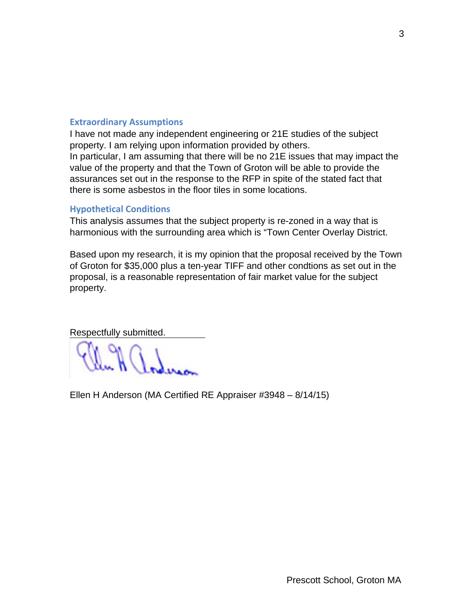# **Extraordinary Assumptions**

I have not made any independent engineering or 21E studies of the subject property. I am relying upon information provided by others. In particular, I am assuming that there will be no 21E issues that may impact the

value of the property and that the Town of Groton will be able to provide the assurances set out in the response to the RFP in spite of the stated fact that there is some asbestos in the floor tiles in some locations.

# **Hypothetical Conditions**

This analysis assumes that the subject property is re-zoned in a way that is harmonious with the surrounding area which is "Town Center Overlay District.

Based upon my research, it is my opinion that the proposal received by the Town of Groton for \$35,000 plus a ten-year TIFF and other condtions as set out in the proposal, is a reasonable representation of fair market value for the subject property.

Respectfully submitted.

Ellen H Anderson (MA Certified RE Appraiser #3948 – 8/14/15)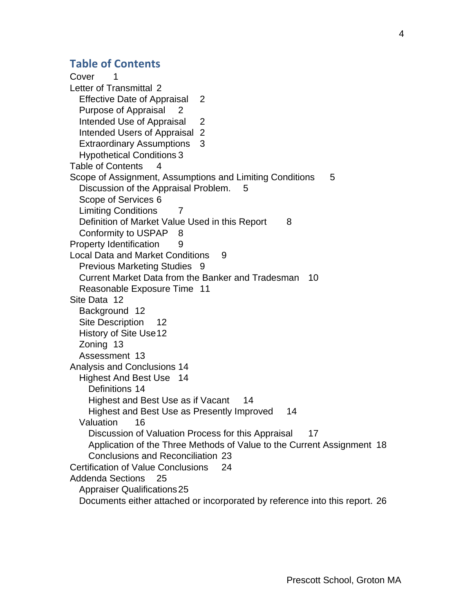# **Table of Contents**

Cover 1 Letter of Transmittal 2 Effective Date of Appraisal 2 Purpose of Appraisal 2 Intended Use of Appraisal 2 Intended Users of Appraisal 2 Extraordinary Assumptions 3 Hypothetical Conditions 3 Table of Contents 4 Scope of Assignment, Assumptions and Limiting Conditions 5 Discussion of the Appraisal Problem. 5 Scope of Services 6 Limiting Conditions 7 Definition of Market Value Used in this Report 8 Conformity to USPAP 8 Property Identification 9 Local Data and Market Conditions 9 Previous Marketing Studies 9 Current Market Data from the Banker and Tradesman 10 Reasonable Exposure Time 11 Site Data 12 Background 12 Site Description 12 History of Site Use 12 Zoning 13 Assessment 13 Analysis and Conclusions 14 Highest And Best Use 14 Definitions 14 Highest and Best Use as if Vacant 14 Highest and Best Use as Presently Improved 14 Valuation 16 Discussion of Valuation Process for this Appraisal 17 Application of the Three Methods of Value to the Current Assignment 18 Conclusions and Reconciliation 23 Certification of Value Conclusions 24 Addenda Sections 25 Appraiser Qualifications 25 Documents either attached or incorporated by reference into this report. 26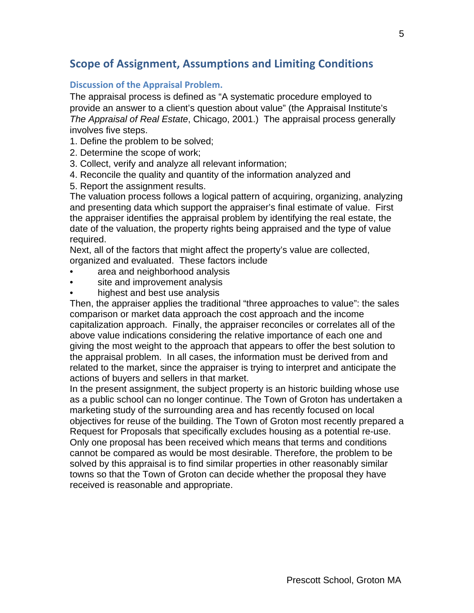# **Scope of Assignment, Assumptions and Limiting Conditions**

# **Discussion of the Appraisal Problem.**

The appraisal process is defined as "A systematic procedure employed to provide an answer to a client's question about value" (the Appraisal Institute's *The Appraisal of Real Estate*, Chicago, 2001.) The appraisal process generally involves five steps.

1. Define the problem to be solved;

- 2. Determine the scope of work;
- 3. Collect, verify and analyze all relevant information;
- 4. Reconcile the quality and quantity of the information analyzed and
- 5. Report the assignment results.

The valuation process follows a logical pattern of acquiring, organizing, analyzing and presenting data which support the appraiser's final estimate of value. First the appraiser identifies the appraisal problem by identifying the real estate, the date of the valuation, the property rights being appraised and the type of value required.

Next, all of the factors that might affect the property's value are collected, organized and evaluated. These factors include

- area and neighborhood analysis
- site and improvement analysis
- highest and best use analysis

Then, the appraiser applies the traditional "three approaches to value": the sales comparison or market data approach the cost approach and the income capitalization approach. Finally, the appraiser reconciles or correlates all of the above value indications considering the relative importance of each one and giving the most weight to the approach that appears to offer the best solution to the appraisal problem. In all cases, the information must be derived from and related to the market, since the appraiser is trying to interpret and anticipate the actions of buyers and sellers in that market.

In the present assignment, the subject property is an historic building whose use as a public school can no longer continue. The Town of Groton has undertaken a marketing study of the surrounding area and has recently focused on local objectives for reuse of the building. The Town of Groton most recently prepared a Request for Proposals that specifically excludes housing as a potential re-use. Only one proposal has been received which means that terms and conditions cannot be compared as would be most desirable. Therefore, the problem to be solved by this appraisal is to find similar properties in other reasonably similar towns so that the Town of Groton can decide whether the proposal they have received is reasonable and appropriate.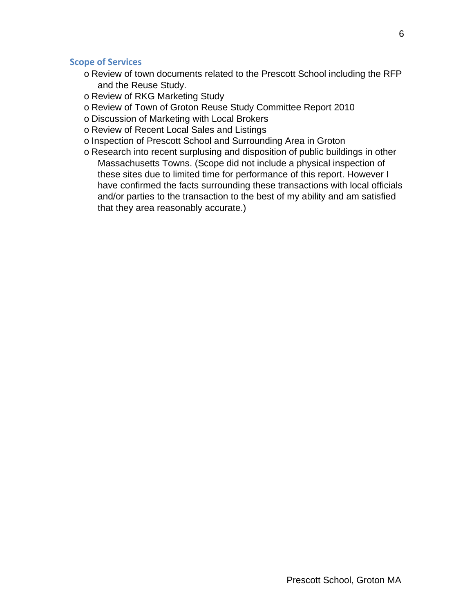### **Scope of Services**

- o Review of town documents related to the Prescott School including the RFP and the Reuse Study.
- o Review of RKG Marketing Study
- o Review of Town of Groton Reuse Study Committee Report 2010
- o Discussion of Marketing with Local Brokers
- o Review of Recent Local Sales and Listings
- o Inspection of Prescott School and Surrounding Area in Groton
- o Research into recent surplusing and disposition of public buildings in other Massachusetts Towns. (Scope did not include a physical inspection of these sites due to limited time for performance of this report. However I have confirmed the facts surrounding these transactions with local officials and/or parties to the transaction to the best of my ability and am satisfied that they area reasonably accurate.)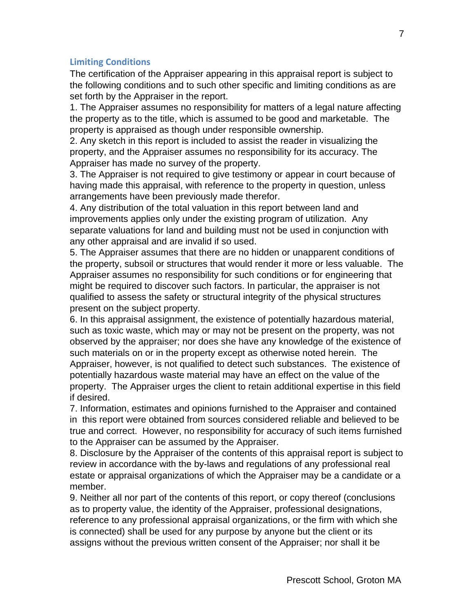# **Limiting Conditions**

The certification of the Appraiser appearing in this appraisal report is subject to the following conditions and to such other specific and limiting conditions as are set forth by the Appraiser in the report.

1. The Appraiser assumes no responsibility for matters of a legal nature affecting the property as to the title, which is assumed to be good and marketable. The property is appraised as though under responsible ownership.

2. Any sketch in this report is included to assist the reader in visualizing the property, and the Appraiser assumes no responsibility for its accuracy. The Appraiser has made no survey of the property.

3. The Appraiser is not required to give testimony or appear in court because of having made this appraisal, with reference to the property in question, unless arrangements have been previously made therefor.

4. Any distribution of the total valuation in this report between land and improvements applies only under the existing program of utilization. Any separate valuations for land and building must not be used in conjunction with any other appraisal and are invalid if so used.

5. The Appraiser assumes that there are no hidden or unapparent conditions of the property, subsoil or structures that would render it more or less valuable. The Appraiser assumes no responsibility for such conditions or for engineering that might be required to discover such factors. In particular, the appraiser is not qualified to assess the safety or structural integrity of the physical structures present on the subject property.

6. In this appraisal assignment, the existence of potentially hazardous material, such as toxic waste, which may or may not be present on the property, was not observed by the appraiser; nor does she have any knowledge of the existence of such materials on or in the property except as otherwise noted herein. The Appraiser, however, is not qualified to detect such substances. The existence of potentially hazardous waste material may have an effect on the value of the property. The Appraiser urges the client to retain additional expertise in this field if desired.

7. Information, estimates and opinions furnished to the Appraiser and contained in this report were obtained from sources considered reliable and believed to be true and correct. However, no responsibility for accuracy of such items furnished to the Appraiser can be assumed by the Appraiser.

8. Disclosure by the Appraiser of the contents of this appraisal report is subject to review in accordance with the by-laws and regulations of any professional real estate or appraisal organizations of which the Appraiser may be a candidate or a member.

9. Neither all nor part of the contents of this report, or copy thereof (conclusions as to property value, the identity of the Appraiser, professional designations, reference to any professional appraisal organizations, or the firm with which she is connected) shall be used for any purpose by anyone but the client or its assigns without the previous written consent of the Appraiser; nor shall it be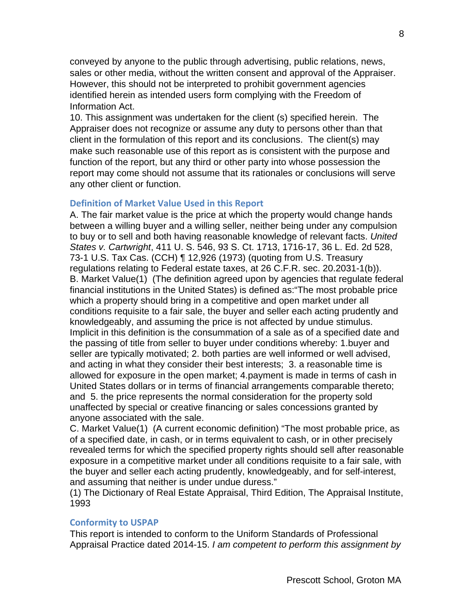conveyed by anyone to the public through advertising, public relations, news, sales or other media, without the written consent and approval of the Appraiser. However, this should not be interpreted to prohibit government agencies identified herein as intended users form complying with the Freedom of Information Act.

10. This assignment was undertaken for the client (s) specified herein. The Appraiser does not recognize or assume any duty to persons other than that client in the formulation of this report and its conclusions. The client(s) may make such reasonable use of this report as is consistent with the purpose and function of the report, but any third or other party into whose possession the report may come should not assume that its rationales or conclusions will serve any other client or function.

### **Definition of Market Value Used in this Report**

A. The fair market value is the price at which the property would change hands between a willing buyer and a willing seller, neither being under any compulsion to buy or to sell and both having reasonable knowledge of relevant facts. *United States v. Cartwright*, 411 U. S. 546, 93 S. Ct. 1713, 1716-17, 36 L. Ed. 2d 528, 73-1 U.S. Tax Cas. (CCH) ¶ 12,926 (1973) (quoting from U.S. Treasury regulations relating to Federal estate taxes, at 26 C.F.R. sec. 20.2031-1(b)). B. Market Value(1) (The definition agreed upon by agencies that regulate federal financial institutions in the United States) is defined as:"The most probable price which a property should bring in a competitive and open market under all conditions requisite to a fair sale, the buyer and seller each acting prudently and knowledgeably, and assuming the price is not affected by undue stimulus. Implicit in this definition is the consummation of a sale as of a specified date and the passing of title from seller to buyer under conditions whereby: 1.buyer and seller are typically motivated; 2. both parties are well informed or well advised, and acting in what they consider their best interests; 3. a reasonable time is allowed for exposure in the open market; 4.payment is made in terms of cash in United States dollars or in terms of financial arrangements comparable thereto; and 5. the price represents the normal consideration for the property sold unaffected by special or creative financing or sales concessions granted by anyone associated with the sale.

C. Market Value(1) (A current economic definition) "The most probable price, as of a specified date, in cash, or in terms equivalent to cash, or in other precisely revealed terms for which the specified property rights should sell after reasonable exposure in a competitive market under all conditions requisite to a fair sale, with the buyer and seller each acting prudently, knowledgeably, and for self-interest, and assuming that neither is under undue duress."

(1) The Dictionary of Real Estate Appraisal, Third Edition, The Appraisal Institute, 1993

### **Conformity to USPAP**

This report is intended to conform to the Uniform Standards of Professional Appraisal Practice dated 2014-15. *I am competent to perform this assignment by*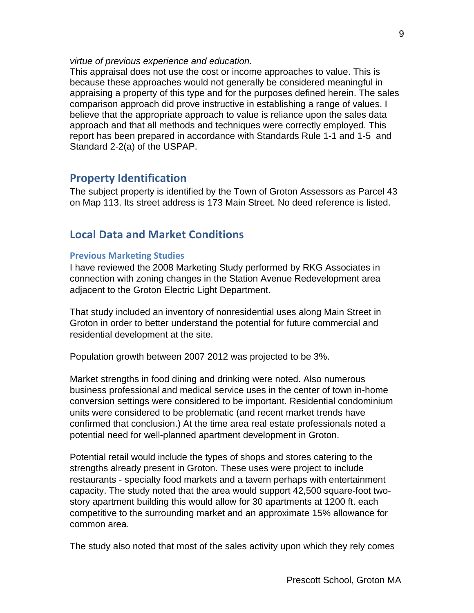### *virtue of previous experience and education.*

This appraisal does not use the cost or income approaches to value. This is because these approaches would not generally be considered meaningful in appraising a property of this type and for the purposes defined herein. The sales comparison approach did prove instructive in establishing a range of values. I believe that the appropriate approach to value is reliance upon the sales data approach and that all methods and techniques were correctly employed. This report has been prepared in accordance with Standards Rule 1-1 and 1-5 and Standard 2-2(a) of the USPAP.

# **Property Identification**

The subject property is identified by the Town of Groton Assessors as Parcel 43 on Map 113. Its street address is 173 Main Street. No deed reference is listed.

# **Local Data and Market Conditions**

### **Previous Marketing Studies**

I have reviewed the 2008 Marketing Study performed by RKG Associates in connection with zoning changes in the Station Avenue Redevelopment area adjacent to the Groton Electric Light Department.

That study included an inventory of nonresidential uses along Main Street in Groton in order to better understand the potential for future commercial and residential development at the site.

Population growth between 2007 2012 was projected to be 3%.

Market strengths in food dining and drinking were noted. Also numerous business professional and medical service uses in the center of town in-home conversion settings were considered to be important. Residential condominium units were considered to be problematic (and recent market trends have confirmed that conclusion.) At the time area real estate professionals noted a potential need for well-planned apartment development in Groton.

Potential retail would include the types of shops and stores catering to the strengths already present in Groton. These uses were project to include restaurants - specialty food markets and a tavern perhaps with entertainment capacity. The study noted that the area would support 42,500 square-foot twostory apartment building this would allow for 30 apartments at 1200 ft. each competitive to the surrounding market and an approximate 15% allowance for common area.

The study also noted that most of the sales activity upon which they rely comes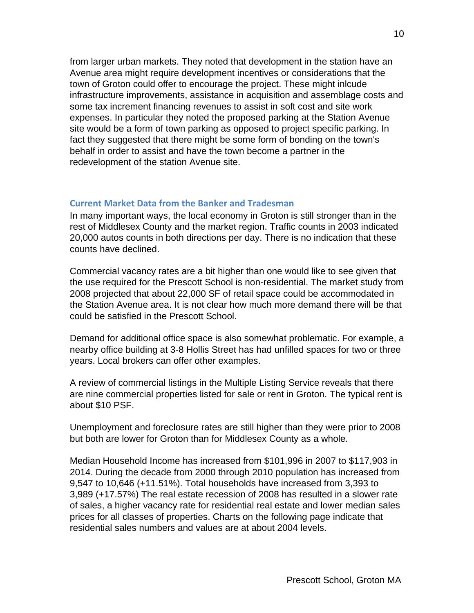from larger urban markets. They noted that development in the station have an Avenue area might require development incentives or considerations that the town of Groton could offer to encourage the project. These might inlcude infrastructure improvements, assistance in acquisition and assemblage costs and some tax increment financing revenues to assist in soft cost and site work expenses. In particular they noted the proposed parking at the Station Avenue site would be a form of town parking as opposed to project specific parking. In fact they suggested that there might be some form of bonding on the town's behalf in order to assist and have the town become a partner in the redevelopment of the station Avenue site.

### **Current Market Data from the Banker and Tradesman**

In many important ways, the local economy in Groton is still stronger than in the rest of Middlesex County and the market region. Traffic counts in 2003 indicated 20,000 autos counts in both directions per day. There is no indication that these counts have declined.

Commercial vacancy rates are a bit higher than one would like to see given that the use required for the Prescott School is non-residential. The market study from 2008 projected that about 22,000 SF of retail space could be accommodated in the Station Avenue area. It is not clear how much more demand there will be that could be satisfied in the Prescott School.

Demand for additional office space is also somewhat problematic. For example, a nearby office building at 3-8 Hollis Street has had unfilled spaces for two or three years. Local brokers can offer other examples.

A review of commercial listings in the Multiple Listing Service reveals that there are nine commercial properties listed for sale or rent in Groton. The typical rent is about \$10 PSF.

Unemployment and foreclosure rates are still higher than they were prior to 2008 but both are lower for Groton than for Middlesex County as a whole.

Median Household Income has increased from \$101,996 in 2007 to \$117,903 in 2014. During the decade from 2000 through 2010 population has increased from 9,547 to 10,646 (+11.51%). Total households have increased from 3,393 to 3,989 (+17.57%) The real estate recession of 2008 has resulted in a slower rate of sales, a higher vacancy rate for residential real estate and lower median sales prices for all classes of properties. Charts on the following page indicate that residential sales numbers and values are at about 2004 levels.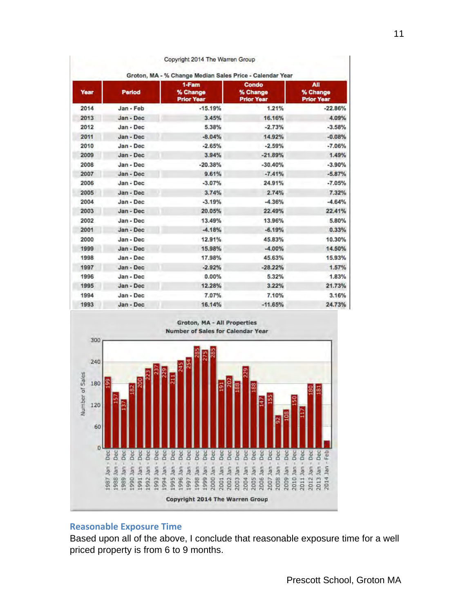| Groton, MA - % Change Median Sales Price - Calendar Year |           |                                        |                                        |                                      |  |  |
|----------------------------------------------------------|-----------|----------------------------------------|----------------------------------------|--------------------------------------|--|--|
| Year                                                     | Period    | 1-Fam<br>% Change<br><b>Prior Year</b> | Condo<br>% Change<br><b>Prior Year</b> | All<br>% Change<br><b>Prior Year</b> |  |  |
| 2014                                                     | Jan - Feb | $-15.19%$                              | 1.21%                                  | $-22.86%$                            |  |  |
| 2013                                                     | Jan - Dec | 3.45%                                  | 16.16%                                 | 4.09%                                |  |  |
| 2012                                                     | Jan - Dec | 5.38%                                  | $-2.73%$                               | $-3.58%$                             |  |  |
| 2011                                                     | Jan - Dec | $-8.04%$                               | 14.92%                                 | $-0.08%$                             |  |  |
| 2010                                                     | Jan - Dec | $-2.65%$                               | $-2.59%$                               | $-7.06%$                             |  |  |
| 2009                                                     | Jan - Dec | 3.94%                                  | $-21.89%$                              | 1.49%                                |  |  |
| 2008                                                     | Jan - Dec | $-20.38%$                              | $-30.40%$                              | $-3.90%$                             |  |  |
| 2007                                                     | Jan - Dec | 9.61%                                  | $-7.41%$                               | $-5.87%$                             |  |  |
| 2006                                                     | Jan - Dec | $-3.07%$                               | 24.91%                                 | $-7.05%$                             |  |  |
| 2005                                                     | Jan - Dec | 3.74%                                  | 2.74%                                  | 7.32%                                |  |  |
| 2004                                                     | Jan - Dec | $-3.19%$                               | $-4.36%$                               | $-4.64%$                             |  |  |
| 2003                                                     | Jan - Dec | 20.05%                                 | 22,49%                                 | 22.41%                               |  |  |
| 2002                                                     | Jan - Dec | 13.49%                                 | 13.96%                                 | 5.80%                                |  |  |
| 2001                                                     | Jan - Dec | $-4.18%$                               | $-6.19%$                               | 0.33%                                |  |  |
| 2000                                                     | Jan - Dec | 12.91%                                 | 45.83%                                 | 10.30%                               |  |  |
| 1999                                                     | Jan - Dec | 15,98%                                 | $-4.00%$                               | 14.50%                               |  |  |
| 1998                                                     | Jan - Dec | 17.98%                                 | 45.63%                                 | 15.93%                               |  |  |
| 1997                                                     | Jan - Dec | $-2.92%$                               | $-28.22%$                              | 1.57%                                |  |  |
| 1996                                                     | Jan - Dec | 0.00%                                  | 5.32%                                  | 1.83%                                |  |  |
| 1995                                                     | Jan - Dec | 12.28%                                 | 3.22%                                  | 21.73%                               |  |  |
| 1994                                                     | Jan - Dec | 7.07%                                  | 7.10%                                  | 3.16%                                |  |  |
| 1993                                                     | Jan - Dec | 16.14%                                 | $-11.65%$                              | 24.73%                               |  |  |



# **Reasonable Exposure Time**

Based upon all of the above, I conclude that reasonable exposure time for a well priced property is from 6 to 9 months.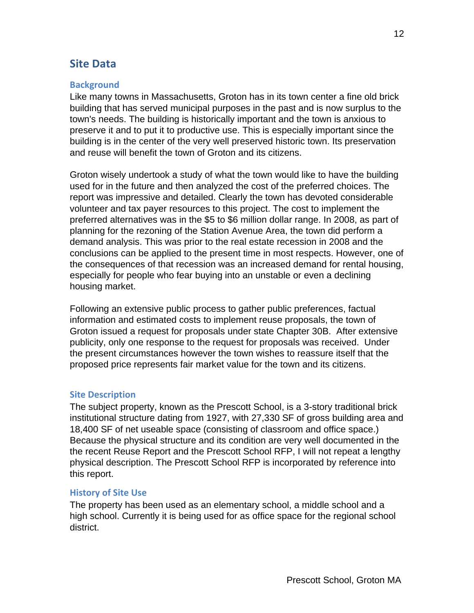# **Site Data**

# **Background**

Like many towns in Massachusetts, Groton has in its town center a fine old brick building that has served municipal purposes in the past and is now surplus to the town's needs. The building is historically important and the town is anxious to preserve it and to put it to productive use. This is especially important since the building is in the center of the very well preserved historic town. Its preservation and reuse will benefit the town of Groton and its citizens.

Groton wisely undertook a study of what the town would like to have the building used for in the future and then analyzed the cost of the preferred choices. The report was impressive and detailed. Clearly the town has devoted considerable volunteer and tax payer resources to this project. The cost to implement the preferred alternatives was in the \$5 to \$6 million dollar range. In 2008, as part of planning for the rezoning of the Station Avenue Area, the town did perform a demand analysis. This was prior to the real estate recession in 2008 and the conclusions can be applied to the present time in most respects. However, one of the consequences of that recession was an increased demand for rental housing, especially for people who fear buying into an unstable or even a declining housing market.

Following an extensive public process to gather public preferences, factual information and estimated costs to implement reuse proposals, the town of Groton issued a request for proposals under state Chapter 30B. After extensive publicity, only one response to the request for proposals was received. Under the present circumstances however the town wishes to reassure itself that the proposed price represents fair market value for the town and its citizens.

# **Site Description**

The subject property, known as the Prescott School, is a 3-story traditional brick institutional structure dating from 1927, with 27,330 SF of gross building area and 18,400 SF of net useable space (consisting of classroom and office space.) Because the physical structure and its condition are very well documented in the the recent Reuse Report and the Prescott School RFP, I will not repeat a lengthy physical description. The Prescott School RFP is incorporated by reference into this report.

### **History of Site Use**

The property has been used as an elementary school, a middle school and a high school. Currently it is being used for as office space for the regional school district.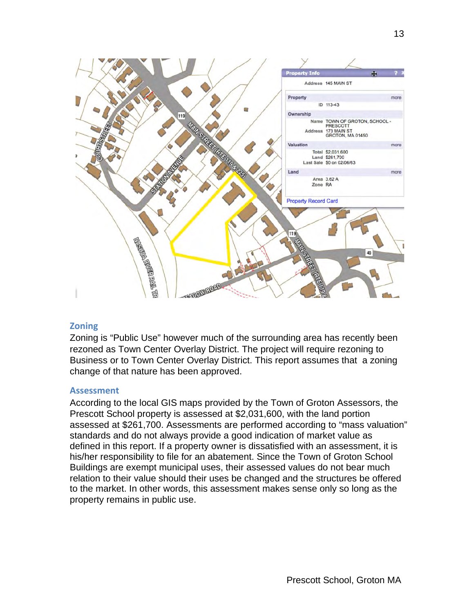

### **Zoning**

Zoning is "Public Use" however much of the surrounding area has recently been rezoned as Town Center Overlay District. The project will require rezoning to Business or to Town Center Overlay District. This report assumes that a zoning change of that nature has been approved.

### **Assessment**

According to the local GIS maps provided by the Town of Groton Assessors, the Prescott School property is assessed at \$2,031,600, with the land portion assessed at \$261,700. Assessments are performed according to "mass valuation" standards and do not always provide a good indication of market value as defined in this report. If a property owner is dissatisfied with an assessment, it is his/her responsibility to file for an abatement. Since the Town of Groton School Buildings are exempt municipal uses, their assessed values do not bear much relation to their value should their uses be changed and the structures be offered to the market. In other words, this assessment makes sense only so long as the property remains in public use.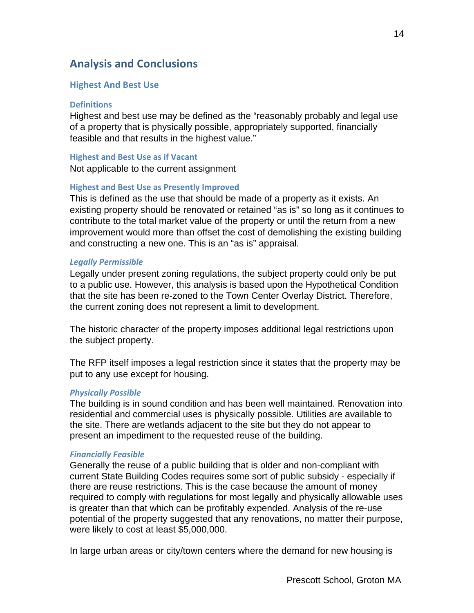# **Analysis and Conclusions**

### **Highest And Best Use**

#### **Definitions**

Highest and best use may be defined as the "reasonably probably and legal use of a property that is physically possible, appropriately supported, financially feasible and that results in the highest value."

### **Highest and Best Use as if Vacant**

Not applicable to the current assignment

### **Highest and Best Use as Presently Improved**

This is defined as the use that should be made of a property as it exists. An existing property should be renovated or retained "as is" so long as it continues to contribute to the total market value of the property or until the return from a new improvement would more than offset the cost of demolishing the existing building and constructing a new one. This is an "as is" appraisal.

### *Legally Permissible*

Legally under present zoning regulations, the subject property could only be put to a public use. However, this analysis is based upon the Hypothetical Condition that the site has been re-zoned to the Town Center Overlay District. Therefore, the current zoning does not represent a limit to development.

The historic character of the property imposes additional legal restrictions upon the subject property.

The RFP itself imposes a legal restriction since it states that the property may be put to any use except for housing.

### *Physically Possible*

The building is in sound condition and has been well maintained. Renovation into residential and commercial uses is physically possible. Utilities are available to the site. There are wetlands adjacent to the site but they do not appear to present an impediment to the requested reuse of the building.

#### **Financially Feasible**

Generally the reuse of a public building that is older and non-compliant with current State Building Codes requires some sort of public subsidy - especially if there are reuse restrictions. This is the case because the amount of money required to comply with regulations for most legally and physically allowable uses is greater than that which can be profitably expended. Analysis of the re-use potential of the property suggested that any renovations, no matter their purpose, were likely to cost at least \$5,000,000.

In large urban areas or city/town centers where the demand for new housing is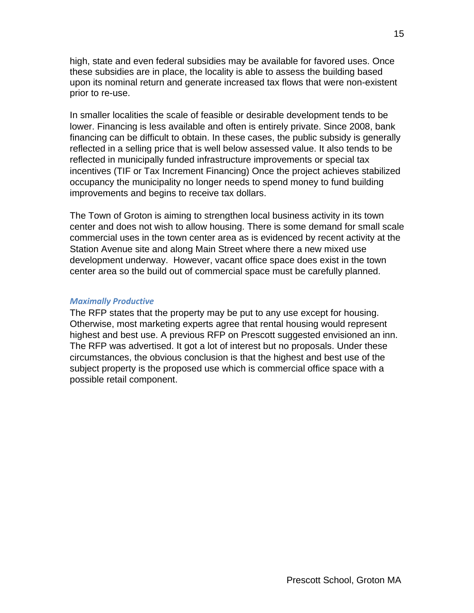high, state and even federal subsidies may be available for favored uses. Once these subsidies are in place, the locality is able to assess the building based upon its nominal return and generate increased tax flows that were non-existent prior to re-use.

In smaller localities the scale of feasible or desirable development tends to be lower. Financing is less available and often is entirely private. Since 2008, bank financing can be difficult to obtain. In these cases, the public subsidy is generally reflected in a selling price that is well below assessed value. It also tends to be reflected in municipally funded infrastructure improvements or special tax incentives (TIF or Tax Increment Financing) Once the project achieves stabilized occupancy the municipality no longer needs to spend money to fund building improvements and begins to receive tax dollars.

The Town of Groton is aiming to strengthen local business activity in its town center and does not wish to allow housing. There is some demand for small scale commercial uses in the town center area as is evidenced by recent activity at the Station Avenue site and along Main Street where there a new mixed use development underway. However, vacant office space does exist in the town center area so the build out of commercial space must be carefully planned.

### *Maximally Productive*

The RFP states that the property may be put to any use except for housing. Otherwise, most marketing experts agree that rental housing would represent highest and best use. A previous RFP on Prescott suggested envisioned an inn. The RFP was advertised. It got a lot of interest but no proposals. Under these circumstances, the obvious conclusion is that the highest and best use of the subject property is the proposed use which is commercial office space with a possible retail component.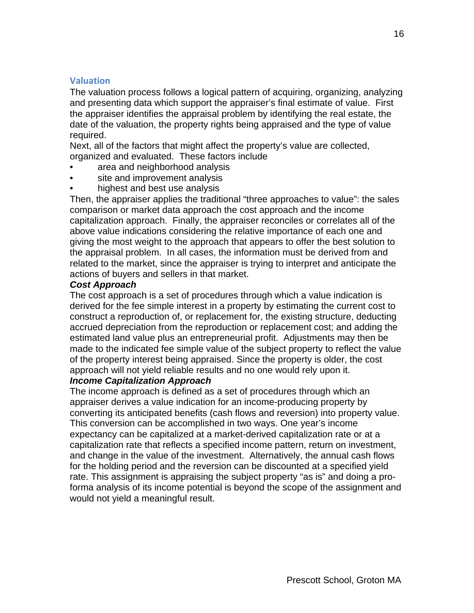### **Valuation**

The valuation process follows a logical pattern of acquiring, organizing, analyzing and presenting data which support the appraiser's final estimate of value. First the appraiser identifies the appraisal problem by identifying the real estate, the date of the valuation, the property rights being appraised and the type of value required.

Next, all of the factors that might affect the property's value are collected, organized and evaluated. These factors include

- area and neighborhood analysis
- site and improvement analysis
- highest and best use analysis

Then, the appraiser applies the traditional "three approaches to value": the sales comparison or market data approach the cost approach and the income capitalization approach. Finally, the appraiser reconciles or correlates all of the above value indications considering the relative importance of each one and giving the most weight to the approach that appears to offer the best solution to the appraisal problem. In all cases, the information must be derived from and related to the market, since the appraiser is trying to interpret and anticipate the actions of buyers and sellers in that market.

### *Cost Approach*

The cost approach is a set of procedures through which a value indication is derived for the fee simple interest in a property by estimating the current cost to construct a reproduction of, or replacement for, the existing structure, deducting accrued depreciation from the reproduction or replacement cost; and adding the estimated land value plus an entrepreneurial profit. Adjustments may then be made to the indicated fee simple value of the subject property to reflect the value of the property interest being appraised. Since the property is older, the cost approach will not yield reliable results and no one would rely upon it.

### *Income Capitalization Approach*

The income approach is defined as a set of procedures through which an appraiser derives a value indication for an income-producing property by converting its anticipated benefits (cash flows and reversion) into property value. This conversion can be accomplished in two ways. One year's income expectancy can be capitalized at a market-derived capitalization rate or at a capitalization rate that reflects a specified income pattern, return on investment, and change in the value of the investment. Alternatively, the annual cash flows for the holding period and the reversion can be discounted at a specified yield rate. This assignment is appraising the subject property "as is" and doing a proforma analysis of its income potential is beyond the scope of the assignment and would not yield a meaningful result.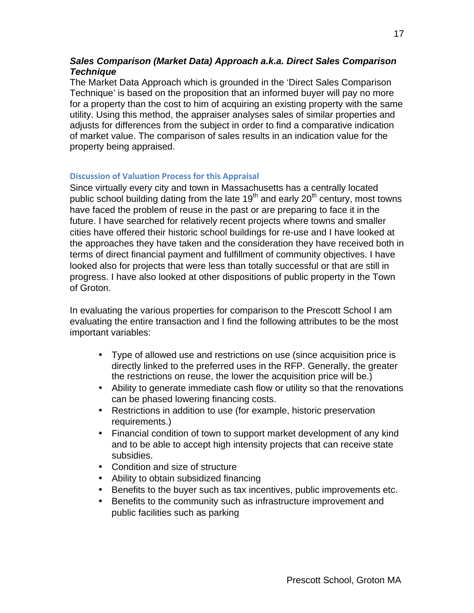# *Sales Comparison (Market Data) Approach a.k.a. Direct Sales Comparison Technique*

The Market Data Approach which is grounded in the 'Direct Sales Comparison Technique' is based on the proposition that an informed buyer will pay no more for a property than the cost to him of acquiring an existing property with the same utility. Using this method, the appraiser analyses sales of similar properties and adjusts for differences from the subject in order to find a comparative indication of market value. The comparison of sales results in an indication value for the property being appraised.

### **Discussion of Valuation Process for this Appraisal**

Since virtually every city and town in Massachusetts has a centrally located public school building dating from the late 19<sup>th</sup> and early 20<sup>th</sup> century, most towns have faced the problem of reuse in the past or are preparing to face it in the future. I have searched for relatively recent projects where towns and smaller cities have offered their historic school buildings for re-use and I have looked at the approaches they have taken and the consideration they have received both in terms of direct financial payment and fulfillment of community objectives. I have looked also for projects that were less than totally successful or that are still in progress. I have also looked at other dispositions of public property in the Town of Groton.

In evaluating the various properties for comparison to the Prescott School I am evaluating the entire transaction and I find the following attributes to be the most important variables:

- Type of allowed use and restrictions on use (since acquisition price is directly linked to the preferred uses in the RFP. Generally, the greater the restrictions on reuse, the lower the acquisition price will be.)
- Ability to generate immediate cash flow or utility so that the renovations can be phased lowering financing costs.
- Restrictions in addition to use (for example, historic preservation requirements.)
- Financial condition of town to support market development of any kind and to be able to accept high intensity projects that can receive state subsidies.
- Condition and size of structure
- Ability to obtain subsidized financing
- Benefits to the buyer such as tax incentives, public improvements etc.
- Benefits to the community such as infrastructure improvement and public facilities such as parking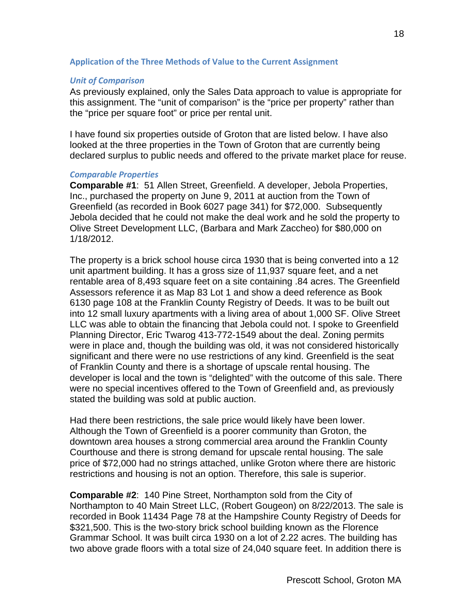### **Application of the Three Methods of Value to the Current Assignment**

### **Unit of Comparison**

As previously explained, only the Sales Data approach to value is appropriate for this assignment. The "unit of comparison" is the "price per property" rather than the "price per square foot" or price per rental unit.

I have found six properties outside of Groton that are listed below. I have also looked at the three properties in the Town of Groton that are currently being declared surplus to public needs and offered to the private market place for reuse.

### *Comparable Properties*

**Comparable #1**: 51 Allen Street, Greenfield. A developer, Jebola Properties, Inc., purchased the property on June 9, 2011 at auction from the Town of Greenfield (as recorded in Book 6027 page 341) for \$72,000. Subsequently Jebola decided that he could not make the deal work and he sold the property to Olive Street Development LLC, (Barbara and Mark Zaccheo) for \$80,000 on 1/18/2012.

The property is a brick school house circa 1930 that is being converted into a 12 unit apartment building. It has a gross size of 11,937 square feet, and a net rentable area of 8,493 square feet on a site containing .84 acres. The Greenfield Assessors reference it as Map 83 Lot 1 and show a deed reference as Book 6130 page 108 at the Franklin County Registry of Deeds. It was to be built out into 12 small luxury apartments with a living area of about 1,000 SF. Olive Street LLC was able to obtain the financing that Jebola could not. I spoke to Greenfield Planning Director, Eric Twarog 413-772-1549 about the deal. Zoning permits were in place and, though the building was old, it was not considered historically significant and there were no use restrictions of any kind. Greenfield is the seat of Franklin County and there is a shortage of upscale rental housing. The developer is local and the town is "delighted" with the outcome of this sale. There were no special incentives offered to the Town of Greenfield and, as previously stated the building was sold at public auction.

Had there been restrictions, the sale price would likely have been lower. Although the Town of Greenfield is a poorer community than Groton, the downtown area houses a strong commercial area around the Franklin County Courthouse and there is strong demand for upscale rental housing. The sale price of \$72,000 had no strings attached, unlike Groton where there are historic restrictions and housing is not an option. Therefore, this sale is superior.

**Comparable #2**: 140 Pine Street, Northampton sold from the City of Northampton to 40 Main Street LLC, (Robert Gougeon) on 8/22/2013. The sale is recorded in Book 11434 Page 78 at the Hampshire County Registry of Deeds for \$321,500. This is the two-story brick school building known as the Florence Grammar School. It was built circa 1930 on a lot of 2.22 acres. The building has two above grade floors with a total size of 24,040 square feet. In addition there is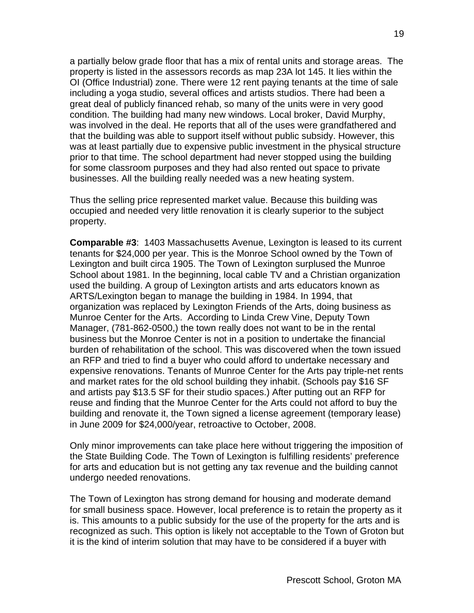a partially below grade floor that has a mix of rental units and storage areas. The property is listed in the assessors records as map 23A lot 145. It lies within the OI (Office Industrial) zone. There were 12 rent paying tenants at the time of sale including a yoga studio, several offices and artists studios. There had been a great deal of publicly financed rehab, so many of the units were in very good condition. The building had many new windows. Local broker, David Murphy, was involved in the deal. He reports that all of the uses were grandfathered and that the building was able to support itself without public subsidy. However, this was at least partially due to expensive public investment in the physical structure prior to that time. The school department had never stopped using the building for some classroom purposes and they had also rented out space to private businesses. All the building really needed was a new heating system.

Thus the selling price represented market value. Because this building was occupied and needed very little renovation it is clearly superior to the subject property.

**Comparable #3**: 1403 Massachusetts Avenue, Lexington is leased to its current tenants for \$24,000 per year. This is the Monroe School owned by the Town of Lexington and built circa 1905. The Town of Lexington surplused the Munroe School about 1981. In the beginning, local cable TV and a Christian organization used the building. A group of Lexington artists and arts educators known as ARTS/Lexington began to manage the building in 1984. In 1994, that organization was replaced by Lexington Friends of the Arts, doing business as Munroe Center for the Arts. According to Linda Crew Vine, Deputy Town Manager, (781-862-0500,) the town really does not want to be in the rental business but the Monroe Center is not in a position to undertake the financial burden of rehabilitation of the school. This was discovered when the town issued an RFP and tried to find a buyer who could afford to undertake necessary and expensive renovations. Tenants of Munroe Center for the Arts pay triple-net rents and market rates for the old school building they inhabit. (Schools pay \$16 SF and artists pay \$13.5 SF for their studio spaces.) After putting out an RFP for reuse and finding that the Munroe Center for the Arts could not afford to buy the building and renovate it, the Town signed a license agreement (temporary lease) in June 2009 for \$24,000/year, retroactive to October, 2008.

Only minor improvements can take place here without triggering the imposition of the State Building Code. The Town of Lexington is fulfilling residents' preference for arts and education but is not getting any tax revenue and the building cannot undergo needed renovations.

The Town of Lexington has strong demand for housing and moderate demand for small business space. However, local preference is to retain the property as it is. This amounts to a public subsidy for the use of the property for the arts and is recognized as such. This option is likely not acceptable to the Town of Groton but it is the kind of interim solution that may have to be considered if a buyer with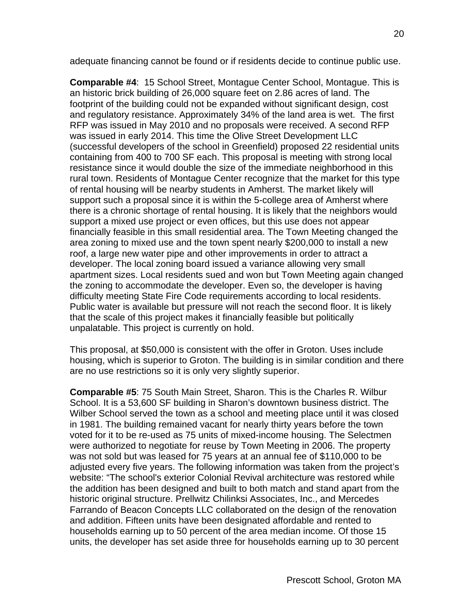adequate financing cannot be found or if residents decide to continue public use.

**Comparable #4**: 15 School Street, Montague Center School, Montague. This is an historic brick building of 26,000 square feet on 2.86 acres of land. The footprint of the building could not be expanded without significant design, cost and regulatory resistance. Approximately 34% of the land area is wet. The first RFP was issued in May 2010 and no proposals were received. A second RFP was issued in early 2014. This time the Olive Street Development LLC (successful developers of the school in Greenfield) proposed 22 residential units containing from 400 to 700 SF each. This proposal is meeting with strong local resistance since it would double the size of the immediate neighborhood in this rural town. Residents of Montague Center recognize that the market for this type of rental housing will be nearby students in Amherst. The market likely will support such a proposal since it is within the 5-college area of Amherst where there is a chronic shortage of rental housing. It is likely that the neighbors would support a mixed use project or even offices, but this use does not appear financially feasible in this small residential area. The Town Meeting changed the area zoning to mixed use and the town spent nearly \$200,000 to install a new roof, a large new water pipe and other improvements in order to attract a developer. The local zoning board issued a variance allowing very small apartment sizes. Local residents sued and won but Town Meeting again changed the zoning to accommodate the developer. Even so, the developer is having difficulty meeting State Fire Code requirements according to local residents. Public water is available but pressure will not reach the second floor. It is likely that the scale of this project makes it financially feasible but politically unpalatable. This project is currently on hold.

This proposal, at \$50,000 is consistent with the offer in Groton. Uses include housing, which is superior to Groton. The building is in similar condition and there are no use restrictions so it is only very slightly superior.

**Comparable #5**: 75 South Main Street, Sharon. This is the Charles R. Wilbur School. It is a 53,600 SF building in Sharon's downtown business district. The Wilber School served the town as a school and meeting place until it was closed in 1981. The building remained vacant for nearly thirty years before the town voted for it to be re-used as 75 units of mixed-income housing. The Selectmen were authorized to negotiate for reuse by Town Meeting in 2006. The property was not sold but was leased for 75 years at an annual fee of \$110,000 to be adjusted every five years. The following information was taken from the project's website: "The school's exterior Colonial Revival architecture was restored while the addition has been designed and built to both match and stand apart from the historic original structure. Prellwitz Chilinksi Associates, Inc., and Mercedes Farrando of Beacon Concepts LLC collaborated on the design of the renovation and addition. Fifteen units have been designated affordable and rented to households earning up to 50 percent of the area median income. Of those 15 units, the developer has set aside three for households earning up to 30 percent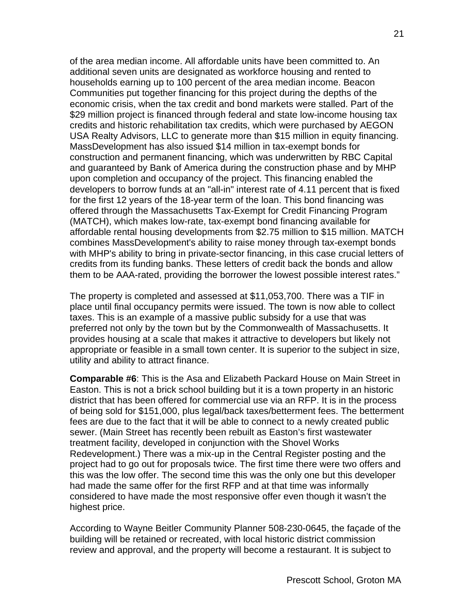of the area median income. All affordable units have been committed to. An additional seven units are designated as workforce housing and rented to households earning up to 100 percent of the area median income. Beacon Communities put together financing for this project during the depths of the economic crisis, when the tax credit and bond markets were stalled. Part of the \$29 million project is financed through federal and state low-income housing tax credits and historic rehabilitation tax credits, which were purchased by AEGON USA Realty Advisors, LLC to generate more than \$15 million in equity financing. MassDevelopment has also issued \$14 million in tax-exempt bonds for construction and permanent financing, which was underwritten by RBC Capital and guaranteed by Bank of America during the construction phase and by MHP upon completion and occupancy of the project. This financing enabled the developers to borrow funds at an "all-in" interest rate of 4.11 percent that is fixed for the first 12 years of the 18-year term of the loan. This bond financing was offered through the Massachusetts Tax-Exempt for Credit Financing Program (MATCH), which makes low-rate, tax-exempt bond financing available for affordable rental housing developments from \$2.75 million to \$15 million. MATCH combines MassDevelopment's ability to raise money through tax-exempt bonds with MHP's ability to bring in private-sector financing, in this case crucial letters of credits from its funding banks. These letters of credit back the bonds and allow them to be AAA-rated, providing the borrower the lowest possible interest rates."

The property is completed and assessed at \$11,053,700. There was a TIF in place until final occupancy permits were issued. The town is now able to collect taxes. This is an example of a massive public subsidy for a use that was preferred not only by the town but by the Commonwealth of Massachusetts. It provides housing at a scale that makes it attractive to developers but likely not appropriate or feasible in a small town center. It is superior to the subject in size, utility and ability to attract finance.

**Comparable #6**: This is the Asa and Elizabeth Packard House on Main Street in Easton. This is not a brick school building but it is a town property in an historic district that has been offered for commercial use via an RFP. It is in the process of being sold for \$151,000, plus legal/back taxes/betterment fees. The betterment fees are due to the fact that it will be able to connect to a newly created public sewer. (Main Street has recently been rebuilt as Easton's first wastewater treatment facility, developed in conjunction with the Shovel Works Redevelopment.) There was a mix-up in the Central Register posting and the project had to go out for proposals twice. The first time there were two offers and this was the low offer. The second time this was the only one but this developer had made the same offer for the first RFP and at that time was informally considered to have made the most responsive offer even though it wasn't the highest price.

According to Wayne Beitler Community Planner 508-230-0645, the façade of the building will be retained or recreated, with local historic district commission review and approval, and the property will become a restaurant. It is subject to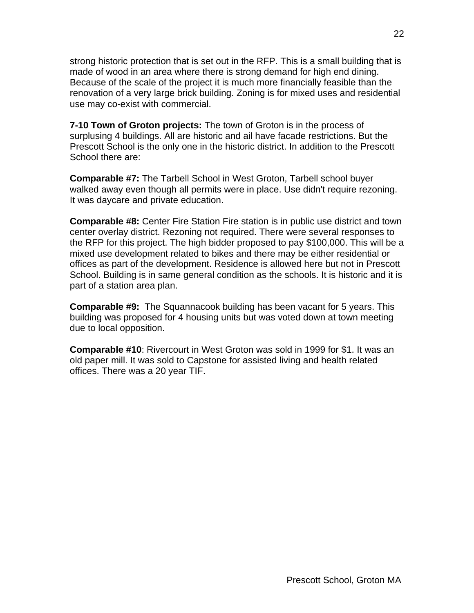strong historic protection that is set out in the RFP. This is a small building that is made of wood in an area where there is strong demand for high end dining. Because of the scale of the project it is much more financially feasible than the renovation of a very large brick building. Zoning is for mixed uses and residential use may co-exist with commercial.

**7-10 Town of Groton projects:** The town of Groton is in the process of surplusing 4 buildings. All are historic and ail have facade restrictions. But the Prescott School is the only one in the historic district. In addition to the Prescott School there are:

**Comparable #7:** The Tarbell School in West Groton, Tarbell school buyer walked away even though all permits were in place. Use didn't require rezoning. It was daycare and private education.

**Comparable #8:** Center Fire Station Fire station is in public use district and town center overlay district. Rezoning not required. There were several responses to the RFP for this project. The high bidder proposed to pay \$100,000. This will be a mixed use development related to bikes and there may be either residential or offices as part of the development. Residence is allowed here but not in Prescott School. Building is in same general condition as the schools. It is historic and it is part of a station area plan.

**Comparable #9:** The Squannacook building has been vacant for 5 years. This building was proposed for 4 housing units but was voted down at town meeting due to local opposition.

**Comparable #10**: Rivercourt in West Groton was sold in 1999 for \$1. It was an old paper mill. It was sold to Capstone for assisted living and health related offices. There was a 20 year TIF.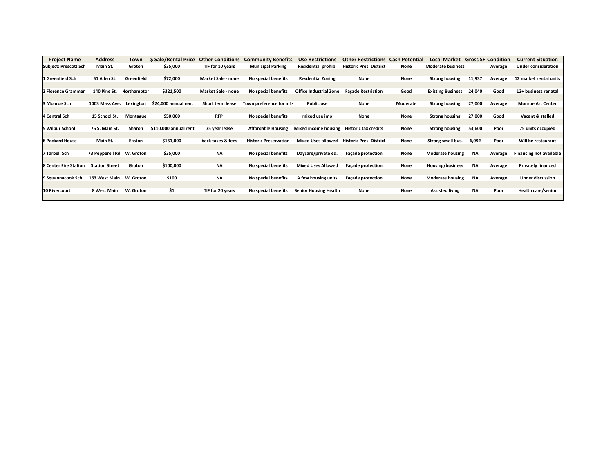| <b>Project Name</b>          | <b>Address</b>             | Town       | <b>S</b> Sale/Rental Price | <b>Other Conditions</b>   | <b>Community Benefits</b>    | <b>Use Restrictions</b>       | <b>Other Restrictions</b>      | <b>Cash Potential</b> | <b>Local Market</b>      |           | <b>Gross SF Condition</b> | <b>Current Situation</b>       |
|------------------------------|----------------------------|------------|----------------------------|---------------------------|------------------------------|-------------------------------|--------------------------------|-----------------------|--------------------------|-----------|---------------------------|--------------------------------|
| <b>Subject: Prescott Sch</b> | Main St.                   | Groton     | \$35,000                   | TIF for 10 years          | <b>Municipal Parking</b>     | Residential prohib.           | <b>Historic Pres. District</b> | None                  | <b>Moderate business</b> |           | Average                   | <b>Under consideration</b>     |
|                              |                            |            |                            |                           |                              |                               |                                |                       |                          |           |                           |                                |
| 1 Greenfield Sch             | 51 Allen St.               | Greenfield | \$72,000                   | <b>Market Sale - none</b> | No special benefits          | <b>Resdential Zoning</b>      | None                           | None                  | <b>Strong housing</b>    | 11,937    | Average                   | 12 market rental units         |
|                              |                            |            |                            |                           |                              |                               |                                |                       |                          |           |                           |                                |
| 2 Florence Grammer           | 140 Pine St. Northamptor   |            | \$321,500                  | Market Sale - none        | No special benefits          | <b>Office Industrial Zone</b> | <b>Façade Restriction</b>      | Good                  | <b>Existing Business</b> | 24,040    | Good                      | 12+ business renatal           |
|                              |                            |            |                            |                           |                              |                               |                                |                       |                          |           |                           |                                |
| 3 Monroe Sch                 | 1403 Mass Ave.             | Lexington  | \$24,000 annual rent       | <b>Short term lease</b>   | Town preference for arts     | <b>Public use</b>             | None                           | Moderate              | <b>Strong housing</b>    | 27,000    | Average                   | <b>Monroe Art Center</b>       |
|                              |                            |            |                            |                           |                              |                               |                                |                       |                          |           |                           |                                |
| 4 Central Sch                | 15 School St.              | Montague   | \$50,000                   | <b>RFP</b>                | No special benefits          | mixed use imp                 | None                           | None                  | <b>Strong housing</b>    | 27,000    | Good                      | Vacant & stalled               |
|                              |                            |            |                            |                           |                              |                               |                                |                       |                          |           |                           |                                |
| 5 Wilbur School              | 75 S. Main St.             | Sharon     | \$110,000 annual rent      | 75 year lease             | <b>Affordable Housing</b>    | Mixed income housing          | Historic tax credits           | None                  | <b>Strong housing</b>    | 53,600    | Poor                      | 75 units occupied              |
|                              |                            |            |                            |                           |                              |                               |                                |                       |                          |           |                           |                                |
| <b>6 Packard House</b>       | Main St.                   | Easton     | \$151,000                  | back taxes & fees         | <b>Historic Preservation</b> | <b>Mixed Uses allowed</b>     | <b>Historic Pres. District</b> | None                  | Strong small bus.        | 6,092     | Poor                      | Will be restaurant             |
|                              |                            |            |                            |                           |                              |                               |                                |                       |                          |           |                           |                                |
| 7 Tarbell Sch                | 73 Pepperell Rd. W. Groton |            | \$35,000                   | <b>NA</b>                 | No special benefits          | Daycare/private ed.           | <b>Façade protection</b>       | None                  | <b>Moderate housing</b>  | ΝA        | Average                   | <b>Financing not available</b> |
|                              |                            |            |                            |                           |                              |                               |                                |                       |                          |           |                           |                                |
| 8 Center Fire Station        | <b>Station Street</b>      | Groton     | \$100,000                  | ΝA                        | No special benefits          | <b>Mixed Uses Allowed</b>     | <b>Façade protection</b>       | None                  | Housing/business         | <b>NA</b> | Average                   | <b>Privately financed</b>      |
|                              |                            |            |                            |                           |                              |                               |                                |                       |                          |           |                           |                                |
| 9 Squannacook Sch            | 163 West Main W. Groton    |            | \$100                      | ΝA                        | No special benefits          | A few housing units           | <b>Facade protection</b>       | None                  | <b>Moderate housing</b>  | <b>NA</b> | Average                   | <b>Under discussion</b>        |
|                              |                            |            |                            |                           |                              |                               |                                |                       |                          |           |                           |                                |
| <b>10 Rivercourt</b>         | 8 West Main                | W. Groton  | \$1                        | TIF for 20 years          | No special benefits          | <b>Senior Housing Health</b>  | None                           | None                  | <b>Assisted living</b>   | <b>NA</b> | Poor                      | <b>Health care/senior</b>      |
|                              |                            |            |                            |                           |                              |                               |                                |                       |                          |           |                           |                                |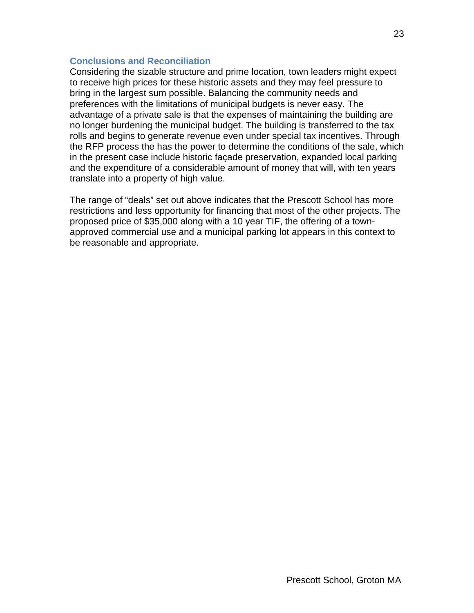### **Conclusions and Reconciliation**

Considering the sizable structure and prime location, town leaders might expect to receive high prices for these historic assets and they may feel pressure to bring in the largest sum possible. Balancing the community needs and preferences with the limitations of municipal budgets is never easy. The advantage of a private sale is that the expenses of maintaining the building are no longer burdening the municipal budget. The building is transferred to the tax rolls and begins to generate revenue even under special tax incentives. Through the RFP process the has the power to determine the conditions of the sale, which in the present case include historic façade preservation, expanded local parking and the expenditure of a considerable amount of money that will, with ten years translate into a property of high value.

The range of "deals" set out above indicates that the Prescott School has more restrictions and less opportunity for financing that most of the other projects. The proposed price of \$35,000 along with a 10 year TIF, the offering of a townapproved commercial use and a municipal parking lot appears in this context to be reasonable and appropriate.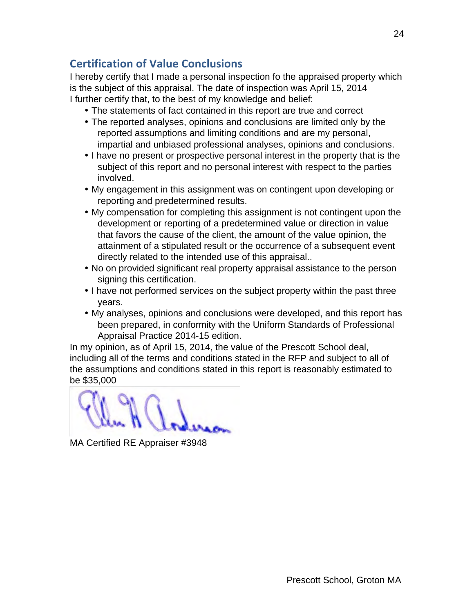# **Certification of Value Conclusions**

I hereby certify that I made a personal inspection fo the appraised property which is the subject of this appraisal. The date of inspection was April 15, 2014 I further certify that, to the best of my knowledge and belief:

- The statements of fact contained in this report are true and correct
- The reported analyses, opinions and conclusions are limited only by the reported assumptions and limiting conditions and are my personal, impartial and unbiased professional analyses, opinions and conclusions.
- I have no present or prospective personal interest in the property that is the subject of this report and no personal interest with respect to the parties involved.
- My engagement in this assignment was on contingent upon developing or reporting and predetermined results.
- My compensation for completing this assignment is not contingent upon the development or reporting of a predetermined value or direction in value that favors the cause of the client, the amount of the value opinion, the attainment of a stipulated result or the occurrence of a subsequent event directly related to the intended use of this appraisal..
- No on provided significant real property appraisal assistance to the person signing this certification.
- I have not performed services on the subject property within the past three years.
- My analyses, opinions and conclusions were developed, and this report has been prepared, in conformity with the Uniform Standards of Professional Appraisal Practice 2014-15 edition.

In my opinion, as of April 15, 2014, the value of the Prescott School deal, including all of the terms and conditions stated in the RFP and subject to all of the assumptions and conditions stated in this report is reasonably estimated to be \$35,000

MA Certified RE Appraiser #3948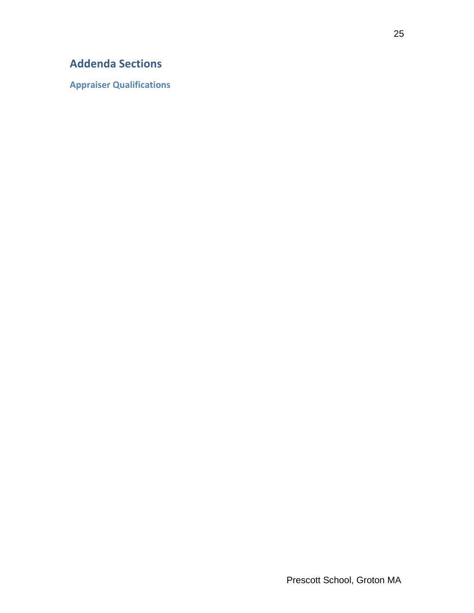# **Addenda Sections**

**Appraiser Qualifications**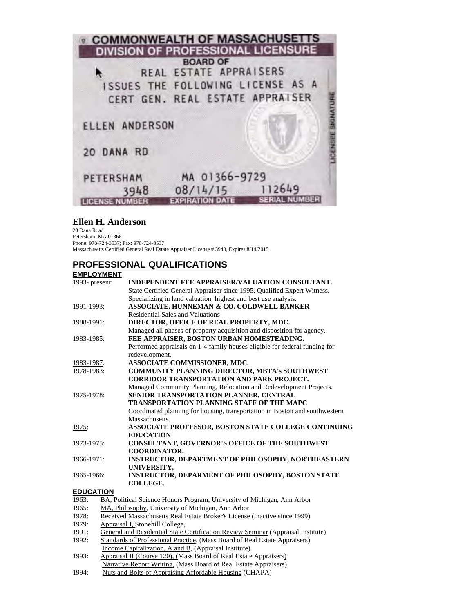

### **Ellen H. Anderson**

20 Dana Road Petersham, MA 01366 Phone: 978-724-3537; Fax: 978-724-3537 Massachusetts Certified General Real Estate Appraiser License # 3948, Expires 8/14/2015

# **PROFESSIONAL QUALIFICATIONS**

#### **EMPLOYMENT**

| 1993- $present:$ | <b>INDEPENDENT FEE APPRAISER/VALUATION CONSULTANT.</b>                      |  |  |  |
|------------------|-----------------------------------------------------------------------------|--|--|--|
|                  | State Certified General Appraiser since 1995, Qualified Expert Witness.     |  |  |  |
|                  | Specializing in land valuation, highest and best use analysis.              |  |  |  |
| 1991-1993:       | <b>ASSOCIATE, HUNNEMAN &amp; CO. COLDWELL BANKER</b>                        |  |  |  |
|                  | <b>Residential Sales and Valuations</b>                                     |  |  |  |
| 1988-1991:       | DIRECTOR, OFFICE OF REAL PROPERTY, MDC.                                     |  |  |  |
|                  | Managed all phases of property acquisition and disposition for agency.      |  |  |  |
| 1983-1985:       | FEE APPRAISER, BOSTON URBAN HOMESTEADING.                                   |  |  |  |
|                  | Performed appraisals on 1-4 family houses eligible for federal funding for  |  |  |  |
|                  | redevelopment.                                                              |  |  |  |
| 1983-1987:       | ASSOCIATE COMMISSIONER, MDC.                                                |  |  |  |
| 1978-1983:       | COMMUNITY PLANNING DIRECTOR, MBTA's SOUTHWEST                               |  |  |  |
|                  | <b>CORRIDOR TRANSPORTATION AND PARK PROJECT.</b>                            |  |  |  |
|                  | Managed Community Planning, Relocation and Redevelopment Projects.          |  |  |  |
| 1975-1978:       | SENIOR TRANSPORTATION PLANNER, CENTRAL                                      |  |  |  |
|                  | TRANSPORTATION PLANNING STAFF OF THE MAPC                                   |  |  |  |
|                  | Coordinated planning for housing, transportation in Boston and southwestern |  |  |  |
|                  | Massachusetts.                                                              |  |  |  |
| 1975:            | ASSOCIATE PROFESSOR, BOSTON STATE COLLEGE CONTINUING                        |  |  |  |
|                  | <b>EDUCATION</b>                                                            |  |  |  |
| 1973-1975:       | <b>CONSULTANT, GOVERNOR'S OFFICE OF THE SOUTHWEST</b>                       |  |  |  |
|                  | <b>COORDINATOR.</b>                                                         |  |  |  |
| 1966-1971:       | INSTRUCTOR, DEPARTMENT OF PHILOSOPHY, NORTHEASTERN                          |  |  |  |
|                  | UNIVERSITY,                                                                 |  |  |  |
| 1965-1966:       | <b>INSTRUCTOR, DEPARMENT OF PHILOSOPHY, BOSTON STATE</b>                    |  |  |  |
|                  | COLLEGE.                                                                    |  |  |  |
| <b>EDUCATION</b> |                                                                             |  |  |  |
| 1963:            | BA, Political Science Honors Program, University of Michigan, Ann Arbor     |  |  |  |
| 1965:            | MA, Philosophy, University of Michigan, Ann Arbor                           |  |  |  |

- 1978: Received Massachusetts Real Estate Broker's License (inactive since 1999)
- 1979: Appraisal I, Stonehill College,<br>1991: General and Residential State (
- 1991: General and Residential State Certification Review Seminar (Appraisal Institute)<br>1992: Standards of Professional Practice. (Mass Board of Real Estate Appraisers)
- Standards of Professional Practice, (Mass Board of Real Estate Appraisers) Income Capitalization, A and B, (Appraisal Institute)<br>1993: Appraisal II (Course 120), (Mass Board of Real Estate
- Appraisal II (Course 120), (Mass Board of Real Estate Appraisers) Narrative Report Writing, (Mass Board of Real Estate Appraisers)
- 1994: Nuts and Bolts of Appraising Affordable Housing (CHAPA)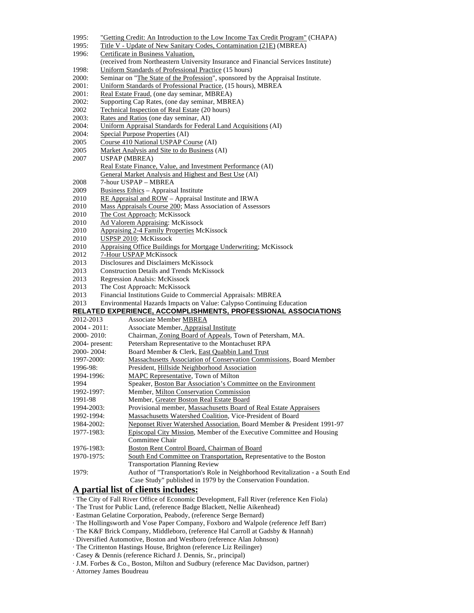- 1995: "Getting Credit: An Introduction to the Low Income Tax Credit Program" (CHAPA)
- 1995: Title V Update of New Sanitary Codes, Contamination (21E) (MBREA)
- 1996: Certificate in Business Valuation,
- (received from Northeastern University Insurance and Financial Services Institute)
- 1998: Uniform Standards of Professional Practice (15 hours)<br>2000: Seminar on "The State of the Profession", sponsored b
- 2000: Seminar on "The State of the Profession", sponsored by the Appraisal Institute.<br>2001: Uniform Standards of Professional Practice. (15 hours). MBREA
- Uniform Standards of Professional Practice, (15 hours), MBREA
- 2001: Real Estate Fraud, (one day seminar, MBREA)<br>2002: Supporting Cap Rates, (one day seminar, MBR)
- 2002: Supporting Cap Rates, (one day seminar, MBREA)<br>2002 Technical Inspection of Real Estate (20 hours)
- 2002 Technical Inspection of Real Estate (20 hours)<br>2003: Rates and Ratios (one day seminar, AI)
- 2003: Rates and Ratios (one day seminar, AI)<br>2004: Uniform Appraisal Standards for Federa
- Uniform Appraisal Standards for Federal Land Acquisitions (AI)
- 2004: Special Purpose Properties (AI)<br>2005 Course 410 National USPAP Co
- Course 410 National USPAP Course (AI)
- 2005 Market Analysis and Site to do Business (AI)
- 2007 USPAP (MBREA) Real Estate Finance, Value, and Investment Performance (AI) General Market Analysis and Highest and Best Use (AI)
- 2008 7-hour USPAP MBREA
- 2009 Business Ethics Appraisal Institute
- 2010 RE Appraisal and ROW Appraisal Institute and IRWA
- 2010 Mass Appraisals Course 200; Mass Association of Assessors
- 2010 The Cost Approach; McKissock
- 2010 Ad Valorem Appraising: McKissock
- 2010 Appraising 2-4 Family Properties McKissock<br>2010 USPSP 2010; McKissock
- 2010 USPSP 2010; McKissock<br>2010 Appraising Office Buildin
- Appraising Office Buildings for Mortgage Underwriting; McKissock
- 2012 7-Hour USPAP McKissock
- 2013 Disclosures and Disclaimers McKissock
- 2013 Construction Details and Trends McKissock<br>2013 Regression Analsis: McKissock
- 2013 Regression Analsis: McKissock<br>2013 The Cost Approach: McKissock
- 2013 The Cost Approach: McKissock<br>2013 Financial Institutions Guide to C
- 2013 Financial Institutions Guide to Commercial Appraisals: MBREA<br>2013 Environmental Hazards Impacts on Value: Calvoso Continuing E
- Environmental Hazards Impacts on Value: Calypso Continuing Education

### **RELATED EXPERIENCE, ACCOMPLISHMENTS, PROFESSIONAL ASSOCIATIONS**

| 2012-2013         | <b>Associate Member MBREA</b>                                                 |
|-------------------|-------------------------------------------------------------------------------|
| $2004 - 2011$ :   | Associate Member, Appraisal Institute                                         |
| $2000 - 2010$ :   | Chairman, Zoning Board of Appeals, Town of Petersham, MA.                     |
| $2004$ - present: | Petersham Representative to the Montachuset RPA                               |
| $2000 - 2004$     | Board Member & Clerk, East Quabbin Land Trust                                 |
| 1997-2000:        | <b>Massachusetts Association of Conservation Commissions, Board Member</b>    |
| 1996-98:          | President, Hillside Neighborhood Association                                  |
| 1994-1996:        | MAPC Representative, Town of Milton                                           |
| 1994              | Speaker, Boston Bar Association's Committee on the Environment                |
| 1992-1997:        | Member, Milton Conservation Commission                                        |
| 1991-98           | Member, Greater Boston Real Estate Board                                      |
| $1994 - 2003$ :   | Provisional member, Massachusetts Board of Real Estate Appraisers             |
| 1992-1994:        | Massachusetts Watershed Coalition, Vice-President of Board                    |
| 1984-2002:        | Neponset River Watershed Association. Board Member & President 1991-97        |
| 1977-1983:        | Episcopal City Mission, Member of the Executive Committee and Housing         |
|                   | Committee Chair                                                               |
| 1976-1983:        | Boston Rent Control Board, Chairman of Board                                  |
| 1970-1975:        | South End Committee on Transportation, Representative to the Boston           |
|                   | <b>Transportation Planning Review</b>                                         |
| 1979:             | Author of "Transportation's Role in Neighborhood Revitalization - a South End |
|                   | Case Study" published in 1979 by the Conservation Foundation.                 |

#### **A partial list of clients includes:**

· The City of Fall River Office of Economic Development, Fall River (reference Ken Fiola)

- · The Trust for Public Land, (reference Badge Blackett, Nellie Aikenhead)
- · Eastman Gelatine Corporation, Peabody, (reference Serge Bernard)
- · The Hollingsworth and Vose Paper Company, Foxboro and Walpole (reference Jeff Barr)
- · The K&F Brick Company, Middleboro, (reference Hal Carroll at Gadsby & Hannah)
- · Diversified Automotive, Boston and Westboro (reference Alan Johnson)
- · The Crittenton Hastings House, Brighton (reference Liz Reilinger)
- · Casey & Dennis (reference Richard J. Dennis, Sr., principal)
- · J.M. Forbes & Co., Boston, Milton and Sudbury (reference Mac Davidson, partner)
- · Attorney James Boudreau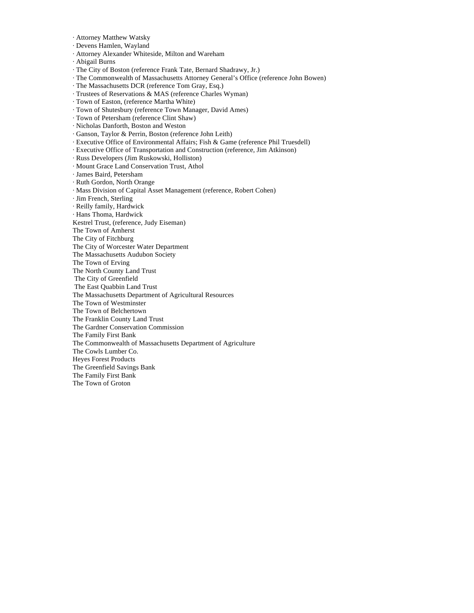- · Attorney Matthew Watsky
- · Devens Hamlen, Wayland
- · Attorney Alexander Whiteside, Milton and Wareham
- · Abigail Burns
- · The City of Boston (reference Frank Tate, Bernard Shadrawy, Jr.)
- · The Commonwealth of Massachusetts Attorney General's Office (reference John Bowen)
- · The Massachusetts DCR (reference Tom Gray, Esq.)
- · Trustees of Reservations & MAS (reference Charles Wyman)
- · Town of Easton, (reference Martha White)
- · Town of Shutesbury (reference Town Manager, David Ames)
- · Town of Petersham (reference Clint Shaw)
- · Nicholas Danforth, Boston and Weston
- · Ganson, Taylor & Perrin, Boston (reference John Leith)
- · Executive Office of Environmental Affairs; Fish & Game (reference Phil Truesdell)
- · Executive Office of Transportation and Construction (reference, Jim Atkinson)
- · Russ Developers (Jim Ruskowski, Holliston)
- · Mount Grace Land Conservation Trust, Athol
- · James Baird, Petersham
- · Ruth Gordon, North Orange
- · Mass Division of Capital Asset Management (reference, Robert Cohen)
- · Jim French, Sterling
- · Reilly family, Hardwick
- · Hans Thoma, Hardwick
- Kestrel Trust, (reference, Judy Eiseman)
- The Town of Amherst
- The City of Fitchburg
- The City of Worcester Water Department
- The Massachusetts Audubon Society
- The Town of Erving
- The North County Land Trust
- The City of Greenfield
- The East Quabbin Land Trust
- The Massachusetts Department of Agricultural Resources
- The Town of Westminster
- The Town of Belchertown
- The Franklin County Land Trust
- The Gardner Conservation Commission
- The Family First Bank
- The Commonwealth of Massachusetts Department of Agriculture
- The Cowls Lumber Co.
- Heyes Forest Products
- The Greenfield Savings Bank
- The Family First Bank
- The Town of Groton